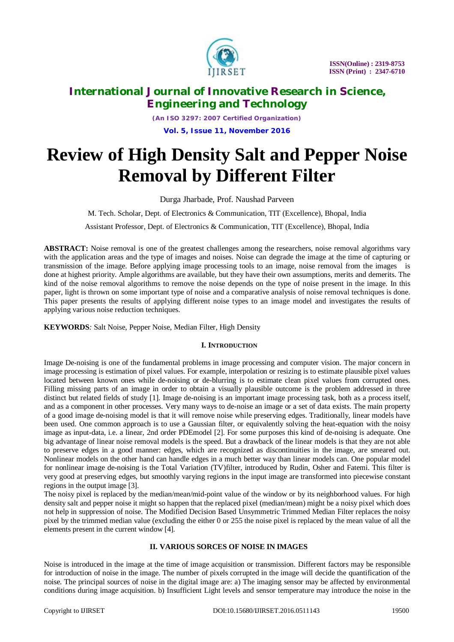

*(An ISO 3297: 2007 Certified Organization)* **Vol. 5, Issue 11, November 2016**

# **Review of High Density Salt and Pepper Noise Removal by Different Filter**

Durga Jharbade, Prof. Naushad Parveen

M. Tech. Scholar, Dept. of Electronics & Communication, TIT (Excellence), Bhopal, India

Assistant Professor, Dept. of Electronics & Communication, TIT (Excellence), Bhopal, India

**ABSTRACT:** Noise removal is one of the greatest challenges among the researchers, noise removal algorithms vary with the application areas and the type of images and noises. Noise can degrade the image at the time of capturing or transmission of the image. Before applying image processing tools to an image, noise removal from the images is done at highest priority. Ample algorithms are available, but they have their own assumptions, merits and demerits. The kind of the noise removal algorithms to remove the noise depends on the type of noise present in the image. In this paper, light is thrown on some important type of noise and a comparative analysis of noise removal techniques is done. This paper presents the results of applying different noise types to an image model and investigates the results of applying various noise reduction techniques.

**KEYWORDS***:* Salt Noise, Pepper Noise, Median Filter, High Density

#### **I. INTRODUCTION**

Image De-noising is one of the fundamental problems in image processing and computer vision. The major concern in image processing is estimation of pixel values. For example, interpolation or resizing is to estimate plausible pixel values located between known ones while de-noising or de-blurring is to estimate clean pixel values from corrupted ones. Filling missing parts of an image in order to obtain a visually plausible outcome is the problem addressed in three distinct but related fields of study [1]. Image de-noising is an important image processing task, both as a process itself, and as a component in other processes. Very many ways to de-noise an image or a set of data exists. The main property of a good image de-noising model is that it will remove noise while preserving edges. Traditionally, linear models have been used. One common approach is to use a Gaussian filter, or equivalently solving the heat-equation with the noisy image as input-data, i.e. a linear, 2nd order PDEmodel [2]. For some purposes this kind of de-noising is adequate. One big advantage of linear noise removal models is the speed. But a drawback of the linear models is that they are not able to preserve edges in a good manner: edges, which are recognized as discontinuities in the image, are smeared out. Nonlinear models on the other hand can handle edges in a much better way than linear models can. One popular model for nonlinear image de-noising is the Total Variation (TV)filter, introduced by Rudin, Osher and Fatemi. This filter is very good at preserving edges, but smoothly varying regions in the input image are transformed into piecewise constant regions in the output image [3].

The noisy pixel is replaced by the median/mean/mid-point value of the window or by its neighborhood values. For high density salt and pepper noise it might so happen that the replaced pixel (median/mean) might be a noisy pixel which does not help in suppression of noise. The Modified Decision Based Unsymmetric Trimmed Median Filter replaces the noisy pixel by the trimmed median value (excluding the either 0 or 255 the noise pixel is replaced by the mean value of all the elements present in the current window [4].

### **II. VARIOUS SORCES OF NOISE IN IMAGES**

Noise is introduced in the image at the time of image acquisition or transmission. Different factors may be responsible for introduction of noise in the image. The number of pixels corrupted in the image will decide the quantification of the noise. The principal sources of noise in the digital image are: a) The imaging sensor may be affected by environmental conditions during image acquisition. b) Insufficient Light levels and sensor temperature may introduce the noise in the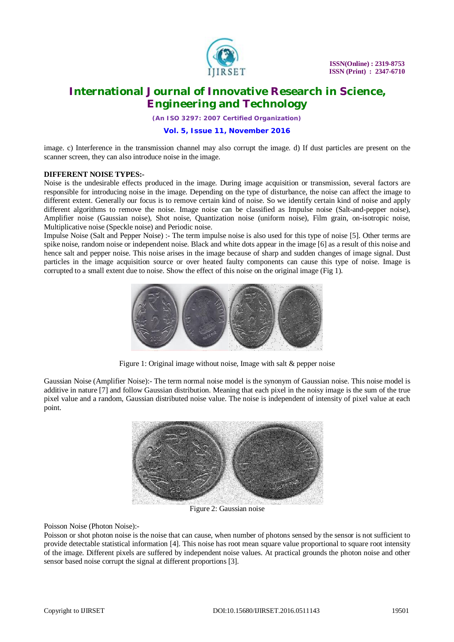

*(An ISO 3297: 2007 Certified Organization)*

#### **Vol. 5, Issue 11, November 2016**

image. c) Interference in the transmission channel may also corrupt the image. d) If dust particles are present on the scanner screen, they can also introduce noise in the image.

#### **DIFFERENT NOISE TYPES:-**

Noise is the undesirable effects produced in the image. During image acquisition or transmission, several factors are responsible for introducing noise in the image. Depending on the type of disturbance, the noise can affect the image to different extent. Generally our focus is to remove certain kind of noise. So we identify certain kind of noise and apply different algorithms to remove the noise. Image noise can be classified as Impulse noise (Salt-and-pepper noise), Amplifier noise (Gaussian noise), Shot noise, Quantization noise (uniform noise), Film grain, on-isotropic noise, Multiplicative noise (Speckle noise) and Periodic noise.

Impulse Noise (Salt and Pepper Noise) :- The term impulse noise is also used for this type of noise [5]. Other terms are spike noise, random noise or independent noise. Black and white dots appear in the image [6] as a result of this noise and hence salt and pepper noise. This noise arises in the image because of sharp and sudden changes of image signal. Dust particles in the image acquisition source or over heated faulty components can cause this type of noise. Image is corrupted to a small extent due to noise. Show the effect of this noise on the original image (Fig 1).



Figure 1: Original image without noise, Image with salt & pepper noise

Gaussian Noise (Amplifier Noise):- The term normal noise model is the synonym of Gaussian noise. This noise model is additive in nature [7] and follow Gaussian distribution. Meaning that each pixel in the noisy image is the sum of the true pixel value and a random, Gaussian distributed noise value. The noise is independent of intensity of pixel value at each point.



Figure 2: Gaussian noise

Poisson Noise (Photon Noise):-

Poisson or shot photon noise is the noise that can cause, when number of photons sensed by the sensor is not sufficient to provide detectable statistical information [4]. This noise has root mean square value proportional to square root intensity of the image. Different pixels are suffered by independent noise values. At practical grounds the photon noise and other sensor based noise corrupt the signal at different proportions [3].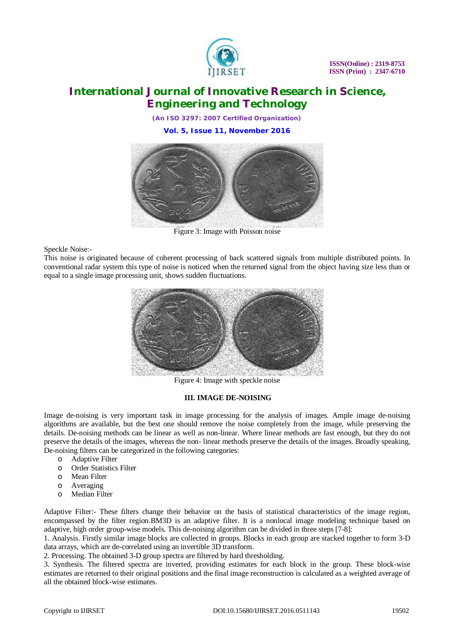

*(An ISO 3297: 2007 Certified Organization)* **Vol. 5, Issue 11, November 2016**



Figure 3: Image with Poisson noise

Speckle Noise:-

This noise is originated because of coherent processing of back scattered signals from multiple distributed points. In conventional radar system this type of noise is noticed when the returned signal from the object having size less than or equal to a single image processing unit, shows sudden fluctuations.



Figure 4: Image with speckle noise

### **III. IMAGE DE-NOISING**

Image de-noising is very important task in image processing for the analysis of images. Ample image de-noising algorithms are available, but the best one should remove the noise completely from the image, while preserving the details. De-noising methods can be linear as well as non-linear. Where linear methods are fast enough, but they do not preserve the details of the images, whereas the non- linear methods preserve the details of the images. Broadly speaking, De-noising filters can be categorized in the following categories:

- o Adaptive Filter
- o Order Statistics Filter
- o Mean Filter
- o Averaging
- o Median Filter

Adaptive Filter:- These filters change their behavior on the basis of statistical characteristics of the image region, encompassed by the filter region.BM3D is an adaptive filter. It is a nonlocal image modeling technique based on adaptive, high order group-wise models. This de-noising algorithm can be divided in three steps [7-8]:

1. Analysis. Firstly similar image blocks are collected in groups. Blocks in each group are stacked together to form 3-D data arrays, which are de-correlated using an invertible 3D transform.

2. Processing. The obtained 3-D group spectra are filtered by hard thresholding.

3. Synthesis. The filtered spectra are inverted, providing estimates for each block in the group. These block-wise estimates are returned to their original positions and the final image reconstruction is calculated as a weighted average of all the obtained block-wise estimates.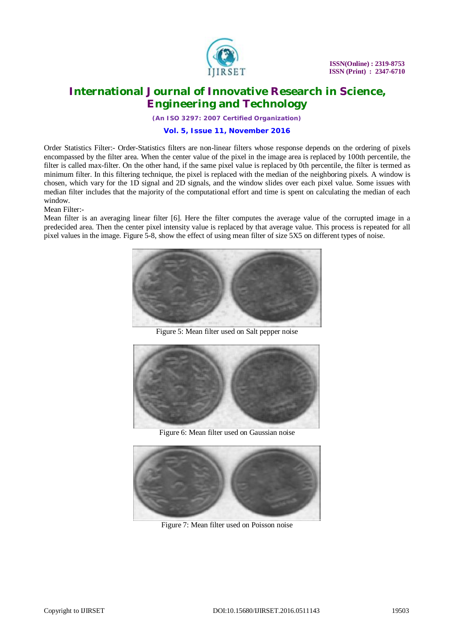

*(An ISO 3297: 2007 Certified Organization)*

#### **Vol. 5, Issue 11, November 2016**

Order Statistics Filter:- Order-Statistics filters are non-linear filters whose response depends on the ordering of pixels encompassed by the filter area. When the center value of the pixel in the image area is replaced by 100th percentile, the filter is called max-filter. On the other hand, if the same pixel value is replaced by 0th percentile, the filter is termed as minimum filter. In this filtering technique, the pixel is replaced with the median of the neighboring pixels. A window is chosen, which vary for the 1D signal and 2D signals, and the window slides over each pixel value. Some issues with median filter includes that the majority of the computational effort and time is spent on calculating the median of each window.

Mean Filter:-

Mean filter is an averaging linear filter [6]. Here the filter computes the average value of the corrupted image in a predecided area. Then the center pixel intensity value is replaced by that average value. This process is repeated for all pixel values in the image. Figure 5-8, show the effect of using mean filter of size 5X5 on different types of noise.



Figure 5: Mean filter used on Salt pepper noise



Figure 6: Mean filter used on Gaussian noise



Figure 7: Mean filter used on Poisson noise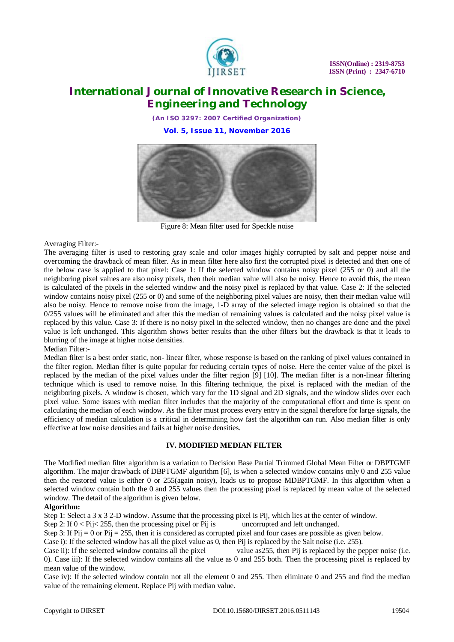

*(An ISO 3297: 2007 Certified Organization)* **Vol. 5, Issue 11, November 2016**



Figure 8: Mean filter used for Speckle noise

Averaging Filter:-

The averaging filter is used to restoring gray scale and color images highly corrupted by salt and pepper noise and overcoming the drawback of mean filter. As in mean filter here also first the corrupted pixel is detected and then one of the below case is applied to that pixel: Case 1: If the selected window contains noisy pixel (255 or 0) and all the neighboring pixel values are also noisy pixels, then their median value will also be noisy. Hence to avoid this, the mean is calculated of the pixels in the selected window and the noisy pixel is replaced by that value. Case 2: If the selected window contains noisy pixel (255 or 0) and some of the neighboring pixel values are noisy, then their median value will also be noisy. Hence to remove noise from the image, 1-D array of the selected image region is obtained so that the 0/255 values will be eliminated and after this the median of remaining values is calculated and the noisy pixel value is replaced by this value. Case 3: If there is no noisy pixel in the selected window, then no changes are done and the pixel value is left unchanged. This algorithm shows better results than the other filters but the drawback is that it leads to blurring of the image at higher noise densities.

Median Filter:-

Median filter is a best order static, non- linear filter, whose response is based on the ranking of pixel values contained in the filter region. Median filter is quite popular for reducing certain types of noise. Here the center value of the pixel is replaced by the median of the pixel values under the filter region [9] [10]. The median filter is a non-linear filtering technique which is used to remove noise. In this filtering technique, the pixel is replaced with the median of the neighboring pixels. A window is chosen, which vary for the 1D signal and 2D signals, and the window slides over each pixel value. Some issues with median filter includes that the majority of the computational effort and time is spent on calculating the median of each window. As the filter must process every entry in the signal therefore for large signals, the efficiency of median calculation is a critical in determining how fast the algorithm can run. Also median filter is only effective at low noise densities and fails at higher noise densities.

### **IV. MODIFIED MEDIAN FILTER**

The Modified median filter algorithm is a variation to Decision Base Partial Trimmed Global Mean Filter or DBPTGMF algorithm. The major drawback of DBPTGMF algorithm [6], is when a selected window contains only 0 and 255 value then the restored value is either 0 or 255(again noisy), leads us to propose MDBPTGMF. In this algorithm when a selected window contain both the 0 and 255 values then the processing pixel is replaced by mean value of the selected window. The detail of the algorithm is given below.

#### **Algorithm:**

Step 1: Select a 3 x 3 2-D window. Assume that the processing pixel is Pij, which lies at the center of window.

Step 2: If  $0 <$  Pi $\le$  255, then the processing pixel or Pij is uncorrupted and left unchanged.

Step 3: If  $Pi$  = 0 or  $Pi$  = 255, then it is considered as corrupted pixel and four cases are possible as given below.

Case i): If the selected window has all the pixel value as 0, then Pij is replaced by the Salt noise (i.e. 255).

Case ii): If the selected window contains all the pixel value as255, then Pij is replaced by the pepper noise (i.e. 0). Case iii): If the selected window contains all the value as 0 and 255 both. Then the processing pixel is replaced by mean value of the window.

Case iv): If the selected window contain not all the element 0 and 255. Then eliminate 0 and 255 and find the median value of the remaining element. Replace Pij with median value.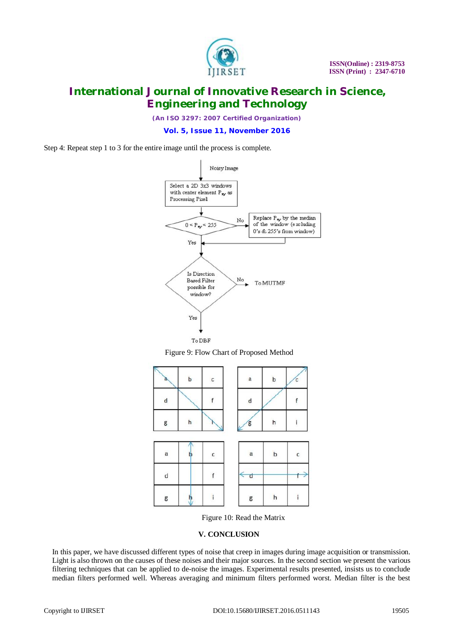

*(An ISO 3297: 2007 Certified Organization)*

**Vol. 5, Issue 11, November 2016**

Step 4: Repeat step 1 to 3 for the entire image until the process is complete.



Figure 9: Flow Chart of Proposed Method



Figure 10: Read the Matrix

#### **V. CONCLUSION**

In this paper, we have discussed different types of noise that creep in images during image acquisition or transmission. Light is also thrown on the causes of these noises and their major sources. In the second section we present the various filtering techniques that can be applied to de-noise the images. Experimental results presented, insists us to conclude median filters performed well. Whereas averaging and minimum filters performed worst. Median filter is the best